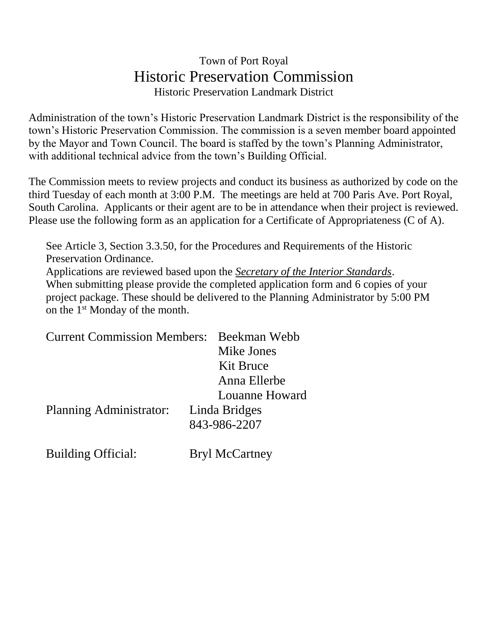## Town of Port Royal Historic Preservation Commission Historic Preservation Landmark District

Administration of the town's Historic Preservation Landmark District is the responsibility of the town's Historic Preservation Commission. The commission is a seven member board appointed by the Mayor and Town Council. The board is staffed by the town's Planning Administrator, with additional technical advice from the town's Building Official.

The Commission meets to review projects and conduct its business as authorized by code on the third Tuesday of each month at 3:00 P.M. The meetings are held at 700 Paris Ave. Port Royal, South Carolina. Applicants or their agent are to be in attendance when their project is reviewed. Please use the following form as an application for a Certificate of Appropriateness (C of A).

See Article 3, Section 3.3.50, for the Procedures and Requirements of the Historic Preservation Ordinance. Applications are reviewed based upon the *Secretary of the Interior Standards*. When submitting please provide the completed application form and 6 copies of your project package. These should be delivered to the Planning Administrator by 5:00 PM on the 1<sup>st</sup> Monday of the month.

| <b>Current Commission Members:</b> Beekman Webb |                |
|-------------------------------------------------|----------------|
|                                                 | Mike Jones     |
|                                                 | Kit Bruce      |
|                                                 | Anna Ellerbe   |
|                                                 | Louanne Howard |
| Planning Administrator:                         | Linda Bridges  |
|                                                 | 843-986-2207   |
|                                                 |                |

Building Official: Bryl McCartney